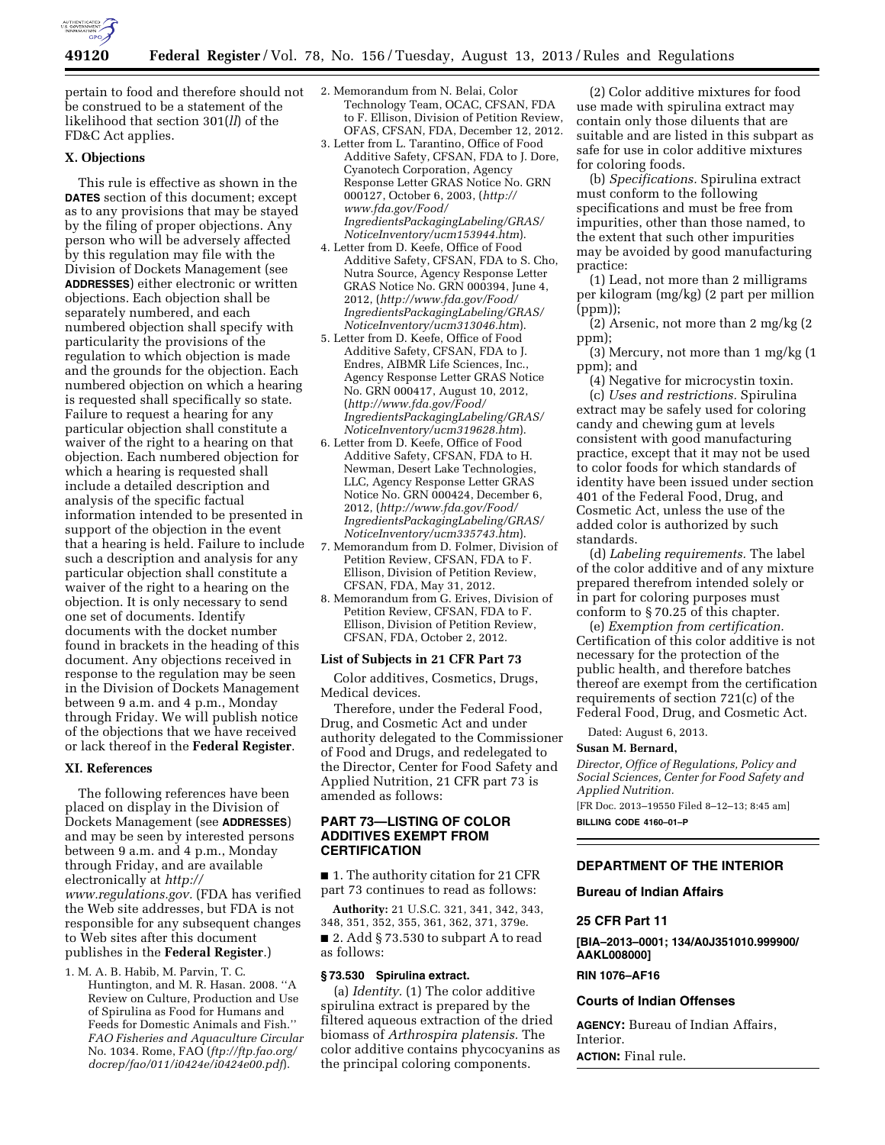

pertain to food and therefore should not be construed to be a statement of the likelihood that section 301(*ll*) of the FD&C Act applies.

### **X. Objections**

This rule is effective as shown in the **DATES** section of this document; except as to any provisions that may be stayed by the filing of proper objections. Any person who will be adversely affected by this regulation may file with the Division of Dockets Management (see **ADDRESSES**) either electronic or written objections. Each objection shall be separately numbered, and each numbered objection shall specify with particularity the provisions of the regulation to which objection is made and the grounds for the objection. Each numbered objection on which a hearing is requested shall specifically so state. Failure to request a hearing for any particular objection shall constitute a waiver of the right to a hearing on that objection. Each numbered objection for which a hearing is requested shall include a detailed description and analysis of the specific factual information intended to be presented in support of the objection in the event that a hearing is held. Failure to include such a description and analysis for any particular objection shall constitute a waiver of the right to a hearing on the objection. It is only necessary to send one set of documents. Identify documents with the docket number found in brackets in the heading of this document. Any objections received in response to the regulation may be seen in the Division of Dockets Management between 9 a.m. and 4 p.m., Monday through Friday. We will publish notice of the objections that we have received or lack thereof in the **Federal Register**.

### **XI. References**

The following references have been placed on display in the Division of Dockets Management (see **ADDRESSES**) and may be seen by interested persons between 9 a.m. and 4 p.m., Monday through Friday, and are available electronically at *[http://](http://www.regulations.gov) [www.regulations.gov.](http://www.regulations.gov)* (FDA has verified the Web site addresses, but FDA is not responsible for any subsequent changes to Web sites after this document publishes in the **Federal Register**.)

1. M. A. B. Habib, M. Parvin, T. C. Huntington, and M. R. Hasan. 2008. ''A Review on Culture, Production and Use of Spirulina as Food for Humans and Feeds for Domestic Animals and Fish.'' *FAO Fisheries and Aquaculture Circular*  No. 1034. Rome, FAO (*ftp://ftp.fao.org/ docrep/fao/011/i0424e/i0424e00.pdf*).

- 2. Memorandum from N. Belai, Color Technology Team, OCAC, CFSAN, FDA to F. Ellison, Division of Petition Review, OFAS, CFSAN, FDA, December 12, 2012.
- 3. Letter from L. Tarantino, Office of Food Additive Safety, CFSAN, FDA to J. Dore, Cyanotech Corporation, Agency Response Letter GRAS Notice No. GRN 000127, October 6, 2003, (*[http://](http://www.fda.gov/Food/IngredientsPackagingLabeling/GRAS/NoticeInventory/ucm153944.htm)  [www.fda.gov/Food/](http://www.fda.gov/Food/IngredientsPackagingLabeling/GRAS/NoticeInventory/ucm153944.htm) [IngredientsPackagingLabeling/GRAS/](http://www.fda.gov/Food/IngredientsPackagingLabeling/GRAS/NoticeInventory/ucm153944.htm) [NoticeInventory/ucm153944.htm](http://www.fda.gov/Food/IngredientsPackagingLabeling/GRAS/NoticeInventory/ucm153944.htm)*).
- 4. Letter from D. Keefe, Office of Food Additive Safety, CFSAN, FDA to S. Cho, Nutra Source, Agency Response Letter GRAS Notice No. GRN 000394, June 4, 2012, (*[http://www.fda.gov/Food/](http://www.fda.gov/Food/IngredientsPackagingLabeling/GRAS/NoticeInventory/ucm313046.htm) [IngredientsPackagingLabeling/GRAS/](http://www.fda.gov/Food/IngredientsPackagingLabeling/GRAS/NoticeInventory/ucm313046.htm) [NoticeInventory/ucm313046.htm](http://www.fda.gov/Food/IngredientsPackagingLabeling/GRAS/NoticeInventory/ucm313046.htm)*).
- 5. Letter from D. Keefe, Office of Food Additive Safety, CFSAN, FDA to J. Endres, AIBMR Life Sciences, Inc., Agency Response Letter GRAS Notice No. GRN 000417, August 10, 2012, (*[http://www.fda.gov/Food/](http://www.fda.gov/Food/IngredientsPackagingLabeling/GRAS/NoticeInventory/ucm319628.htm) [IngredientsPackagingLabeling/GRAS/](http://www.fda.gov/Food/IngredientsPackagingLabeling/GRAS/NoticeInventory/ucm319628.htm) [NoticeInventory/ucm319628.htm](http://www.fda.gov/Food/IngredientsPackagingLabeling/GRAS/NoticeInventory/ucm319628.htm)*).
- 6. Letter from D. Keefe, Office of Food Additive Safety, CFSAN, FDA to H. Newman, Desert Lake Technologies, LLC, Agency Response Letter GRAS Notice No. GRN 000424, December 6, 2012, (*[http://www.fda.gov/Food/](http://www.fda.gov/Food/IngredientsPackagingLabeling/GRAS/NoticeInventory/ucm335743.htm) [IngredientsPackagingLabeling/GRAS/](http://www.fda.gov/Food/IngredientsPackagingLabeling/GRAS/NoticeInventory/ucm335743.htm) [NoticeInventory/ucm335743.htm](http://www.fda.gov/Food/IngredientsPackagingLabeling/GRAS/NoticeInventory/ucm335743.htm)*).
- 7. Memorandum from D. Folmer, Division of Petition Review, CFSAN, FDA to F. Ellison, Division of Petition Review, CFSAN, FDA, May 31, 2012.
- 8. Memorandum from G. Erives, Division of Petition Review, CFSAN, FDA to F. Ellison, Division of Petition Review, CFSAN, FDA, October 2, 2012.

#### **List of Subjects in 21 CFR Part 73**

Color additives, Cosmetics, Drugs, Medical devices.

Therefore, under the Federal Food, Drug, and Cosmetic Act and under authority delegated to the Commissioner of Food and Drugs, and redelegated to the Director, Center for Food Safety and Applied Nutrition, 21 CFR part 73 is amended as follows:

## **PART 73—LISTING OF COLOR ADDITIVES EXEMPT FROM CERTIFICATION**

■ 1. The authority citation for 21 CFR part 73 continues to read as follows:

**Authority:** 21 U.S.C. 321, 341, 342, 343, 348, 351, 352, 355, 361, 362, 371, 379e. ■ 2. Add § 73.530 to subpart A to read as follows:

### **§ 73.530 Spirulina extract.**

(a) *Identity.* (1) The color additive spirulina extract is prepared by the filtered aqueous extraction of the dried biomass of *Arthrospira platensis.* The color additive contains phycocyanins as the principal coloring components.

(2) Color additive mixtures for food use made with spirulina extract may contain only those diluents that are suitable and are listed in this subpart as safe for use in color additive mixtures for coloring foods.

(b) *Specifications.* Spirulina extract must conform to the following specifications and must be free from impurities, other than those named, to the extent that such other impurities may be avoided by good manufacturing practice:

(1) Lead, not more than 2 milligrams per kilogram (mg/kg) (2 part per million (ppm));

(2) Arsenic, not more than 2 mg/kg (2 ppm);

(3) Mercury, not more than 1 mg/kg (1 ppm); and

(4) Negative for microcystin toxin.

(c) *Uses and restrictions.* Spirulina extract may be safely used for coloring candy and chewing gum at levels consistent with good manufacturing practice, except that it may not be used to color foods for which standards of identity have been issued under section 401 of the Federal Food, Drug, and Cosmetic Act, unless the use of the added color is authorized by such standards.

(d) *Labeling requirements.* The label of the color additive and of any mixture prepared therefrom intended solely or in part for coloring purposes must conform to § 70.25 of this chapter.

(e) *Exemption from certification.*  Certification of this color additive is not necessary for the protection of the public health, and therefore batches thereof are exempt from the certification requirements of section 721(c) of the Federal Food, Drug, and Cosmetic Act.

Dated: August 6, 2013.

#### **Susan M. Bernard,**

*Director, Office of Regulations, Policy and Social Sciences, Center for Food Safety and Applied Nutrition.* 

[FR Doc. 2013–19550 Filed 8–12–13; 8:45 am] **BILLING CODE 4160–01–P** 

## **DEPARTMENT OF THE INTERIOR**

**Bureau of Indian Affairs** 

## **25 CFR Part 11**

**[BIA–2013–0001; 134/A0J351010.999900/ AAKL008000]** 

**RIN 1076–AF16** 

## **Courts of Indian Offenses**

**AGENCY:** Bureau of Indian Affairs, Interior.

**ACTION:** Final rule.